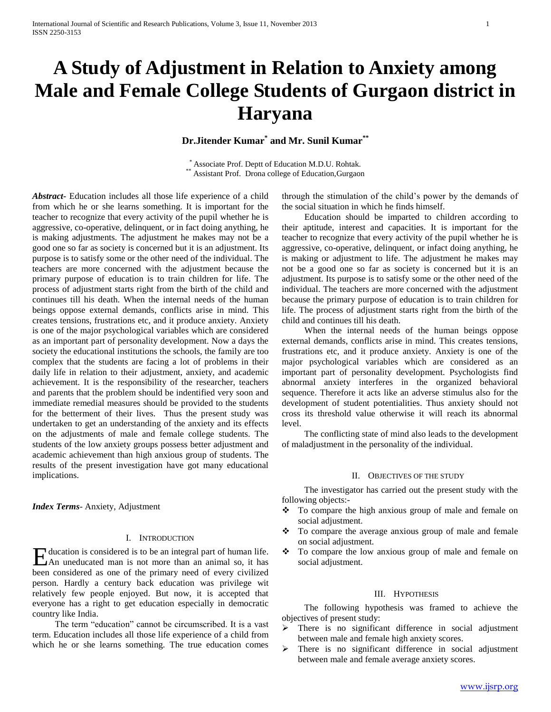# **A Study of Adjustment in Relation to Anxiety among Male and Female College Students of Gurgaon district in Haryana**

## **Dr.Jitender Kumar\* and Mr. Sunil Kumar\*\***

\* Associate Prof. Deptt of Education M.D.U. Rohtak. \*\* Assistant Prof. Drona college of Education, Gurgaon

*Abstract***-** Education includes all those life experience of a child from which he or she learns something. It is important for the teacher to recognize that every activity of the pupil whether he is aggressive, co-operative, delinquent, or in fact doing anything, he is making adjustments. The adjustment he makes may not be a good one so far as society is concerned but it is an adjustment. Its purpose is to satisfy some or the other need of the individual. The teachers are more concerned with the adjustment because the primary purpose of education is to train children for life. The process of adjustment starts right from the birth of the child and continues till his death. When the internal needs of the human beings oppose external demands, conflicts arise in mind. This creates tensions, frustrations etc, and it produce anxiety. Anxiety is one of the major psychological variables which are considered as an important part of personality development. Now a days the society the educational institutions the schools, the family are too complex that the students are facing a lot of problems in their daily life in relation to their adjustment, anxiety, and academic achievement. It is the responsibility of the researcher, teachers and parents that the problem should be indentified very soon and immediate remedial measures should be provided to the students for the betterment of their lives. Thus the present study was undertaken to get an understanding of the anxiety and its effects on the adjustments of male and female college students. The students of the low anxiety groups possess better adjustment and academic achievement than high anxious group of students. The results of the present investigation have got many educational implications.

*Index Terms*- Anxiety, Adjustment

#### I. INTRODUCTION

ducation is considered is to be an integral part of human life. Hundreducation is considered is to be an integral part of human life.<br>An uneducated man is not more than an animal so, it has been considered as one of the primary need of every civilized person. Hardly a century back education was privilege wit relatively few people enjoyed. But now, it is accepted that everyone has a right to get education especially in democratic country like India.

 The term "education" cannot be circumscribed. It is a vast term. Education includes all those life experience of a child from which he or she learns something. The true education comes

through the stimulation of the child's power by the demands of the social situation in which he finds himself.

 Education should be imparted to children according to their aptitude, interest and capacities. It is important for the teacher to recognize that every activity of the pupil whether he is aggressive, co-operative, delinquent, or infact doing anything, he is making or adjustment to life. The adjustment he makes may not be a good one so far as society is concerned but it is an adjustment. Its purpose is to satisfy some or the other need of the individual. The teachers are more concerned with the adjustment because the primary purpose of education is to train children for life. The process of adjustment starts right from the birth of the child and continues till his death.

 When the internal needs of the human beings oppose external demands, conflicts arise in mind. This creates tensions, frustrations etc, and it produce anxiety. Anxiety is one of the major psychological variables which are considered as an important part of personality development. Psychologists find abnormal anxiety interferes in the organized behavioral sequence. Therefore it acts like an adverse stimulus also for the development of student potentialities. Thus anxiety should not cross its threshold value otherwise it will reach its abnormal level.

 The conflicting state of mind also leads to the development of maladjustment in the personality of the individual.

### II. OBJECTIVES OF THE STUDY

 The investigator has carried out the present study with the following objects:-

- To compare the high anxious group of male and female on social adjustment.
- $\div$  To compare the average anxious group of male and female on social adjustment.
- \* To compare the low anxious group of male and female on social adjustment.

#### III. HYPOTHESIS

 The following hypothesis was framed to achieve the objectives of present study:

- > There is no significant difference in social adjustment between male and female high anxiety scores.
- $\triangleright$  There is no significant difference in social adjustment between male and female average anxiety scores.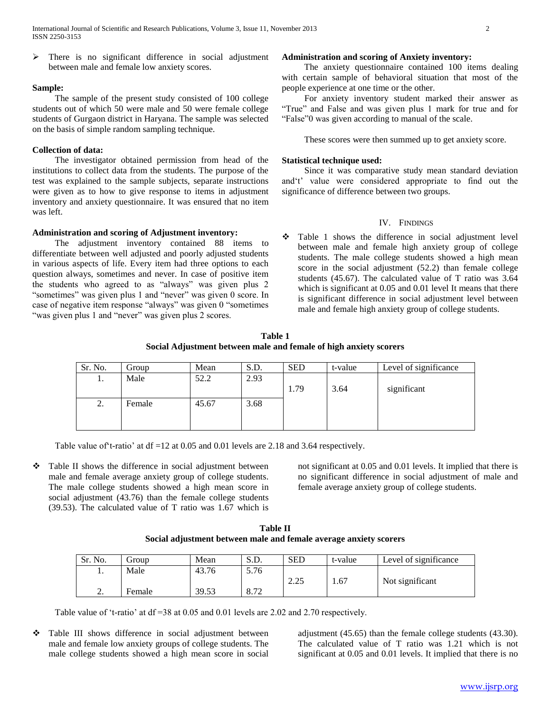$\triangleright$  There is no significant difference in social adjustment between male and female low anxiety scores.

#### **Sample:**

 The sample of the present study consisted of 100 college students out of which 50 were male and 50 were female college students of Gurgaon district in Haryana. The sample was selected on the basis of simple random sampling technique.

#### **Collection of data:**

 The investigator obtained permission from head of the institutions to collect data from the students. The purpose of the test was explained to the sample subjects, separate instructions were given as to how to give response to items in adjustment inventory and anxiety questionnaire. It was ensured that no item was left.

#### **Administration and scoring of Adjustment inventory:**

 The adjustment inventory contained 88 items to differentiate between well adjusted and poorly adjusted students in various aspects of life. Every item had three options to each question always, sometimes and never. In case of positive item the students who agreed to as "always" was given plus 2 "sometimes" was given plus 1 and "never" was given 0 score. In case of negative item response "always" was given 0 "sometimes "was given plus 1 and "never" was given plus 2 scores.

#### **Administration and scoring of Anxiety inventory:**

 The anxiety questionnaire contained 100 items dealing with certain sample of behavioral situation that most of the people experience at one time or the other.

 For anxiety inventory student marked their answer as "True" and False and was given plus 1 mark for true and for "False"0 was given according to manual of the scale.

These scores were then summed up to get anxiety score.

#### **Statistical technique used:**

 Since it was comparative study mean standard deviation and't' value were considered appropriate to find out the significance of difference between two groups.

## IV. FINDINGS

• Table 1 shows the difference in social adjustment level between male and female high anxiety group of college students. The male college students showed a high mean score in the social adjustment (52.2) than female college students (45.67). The calculated value of T ratio was 3.64 which is significant at 0.05 and 0.01 level It means that there is significant difference in social adjustment level between male and female high anxiety group of college students.

**Table 1 Social Adjustment between male and female of high anxiety scorers**

| Sr. No. | Group  | Mean  | S.D. | <b>SED</b> | t-value | Level of significance |
|---------|--------|-------|------|------------|---------|-----------------------|
| 1.      | Male   | 52.2  | 2.93 |            |         |                       |
|         |        |       |      | 1.79       | 3.64    | significant           |
| 2.      | Female | 45.67 | 3.68 |            |         |                       |
|         |        |       |      |            |         |                       |
|         |        |       |      |            |         |                       |

Table value of't-ratio' at df =12 at 0.05 and 0.01 levels are 2.18 and 3.64 respectively.

• Table II shows the difference in social adjustment between male and female average anxiety group of college students. The male college students showed a high mean score in social adjustment (43.76) than the female college students (39.53). The calculated value of T ratio was 1.67 which is not significant at 0.05 and 0.01 levels. It implied that there is no significant difference in social adjustment of male and female average anxiety group of college students.

**Table II Social adjustment between male and female average anxiety scorers**

| Sr. No.  | droup  | Mean  | S.D. | <b>SED</b>     | t-value | Level of significance |
|----------|--------|-------|------|----------------|---------|-----------------------|
| . .      | Male   | 43.76 | 5.76 |                |         |                       |
|          |        |       |      | 225<br>ت کے وک | .67     | Not significant       |
| <u>.</u> | Female | 39.53 | 0.72 |                |         |                       |

Table value of 't-ratio' at df =38 at 0.05 and 0.01 levels are 2.02 and 2.70 respectively.

 Table III shows difference in social adjustment between male and female low anxiety groups of college students. The male college students showed a high mean score in social adjustment (45.65) than the female college students (43.30). The calculated value of T ratio was 1.21 which is not significant at 0.05 and 0.01 levels. It implied that there is no